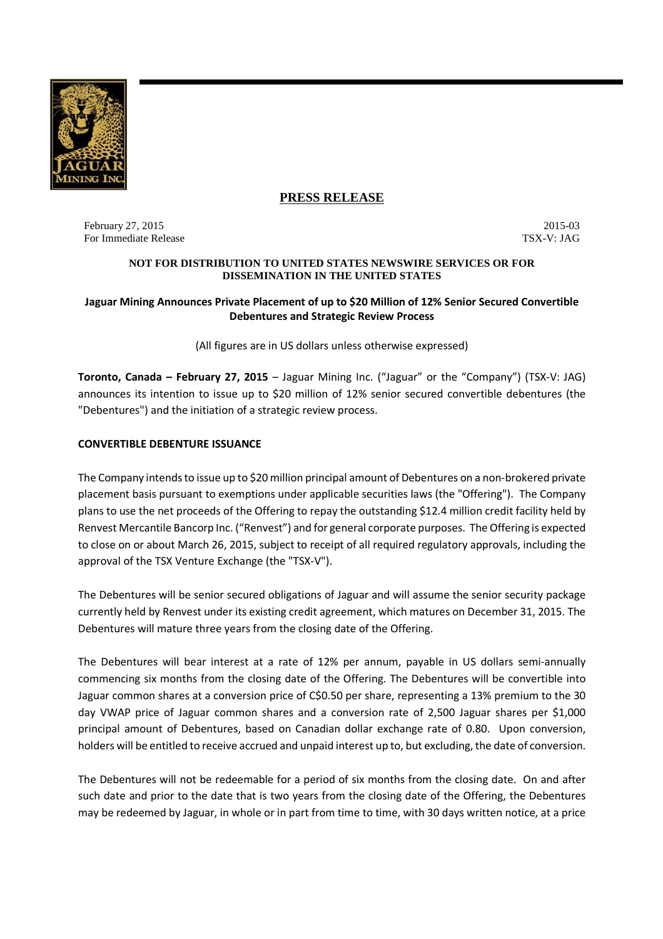

# **PRESS RELEASE**

February 27, 2015<br>
For Immediate Release 2015-03<br>
TSX-V: JAG For Immediate Release

#### **NOT FOR DISTRIBUTION TO UNITED STATES NEWSWIRE SERVICES OR FOR DISSEMINATION IN THE UNITED STATES**

## **Jaguar Mining Announces Private Placement of up to \$20 Million of 12% Senior Secured Convertible Debentures and Strategic Review Process**

(All figures are in US dollars unless otherwise expressed)

**Toronto, Canada – February 27, 2015** – Jaguar Mining Inc. ("Jaguar" or the "Company") (TSX-V: JAG) announces its intention to issue up to \$20 million of 12% senior secured convertible debentures (the "Debentures") and the initiation of a strategic review process.

# **CONVERTIBLE DEBENTURE ISSUANCE**

The Company intends to issue up to \$20 million principal amount of Debentures on a non-brokered private placement basis pursuant to exemptions under applicable securities laws (the "Offering"). The Company plans to use the net proceeds of the Offering to repay the outstanding \$12.4 million credit facility held by Renvest Mercantile Bancorp Inc. ("Renvest") and for general corporate purposes. The Offering is expected to close on or about March 26, 2015, subject to receipt of all required regulatory approvals, including the approval of the TSX Venture Exchange (the "TSX-V").

The Debentures will be senior secured obligations of Jaguar and will assume the senior security package currently held by Renvest under its existing credit agreement, which matures on December 31, 2015. The Debentures will mature three years from the closing date of the Offering.

The Debentures will bear interest at a rate of 12% per annum, payable in US dollars semi-annually commencing six months from the closing date of the Offering. The Debentures will be convertible into Jaguar common shares at a conversion price of C\$0.50 per share, representing a 13% premium to the 30 day VWAP price of Jaguar common shares and a conversion rate of 2,500 Jaguar shares per \$1,000 principal amount of Debentures, based on Canadian dollar exchange rate of 0.80. Upon conversion, holders will be entitled to receive accrued and unpaid interest up to, but excluding, the date of conversion.

The Debentures will not be redeemable for a period of six months from the closing date. On and after such date and prior to the date that is two years from the closing date of the Offering, the Debentures may be redeemed by Jaguar, in whole or in part from time to time, with 30 days written notice, at a price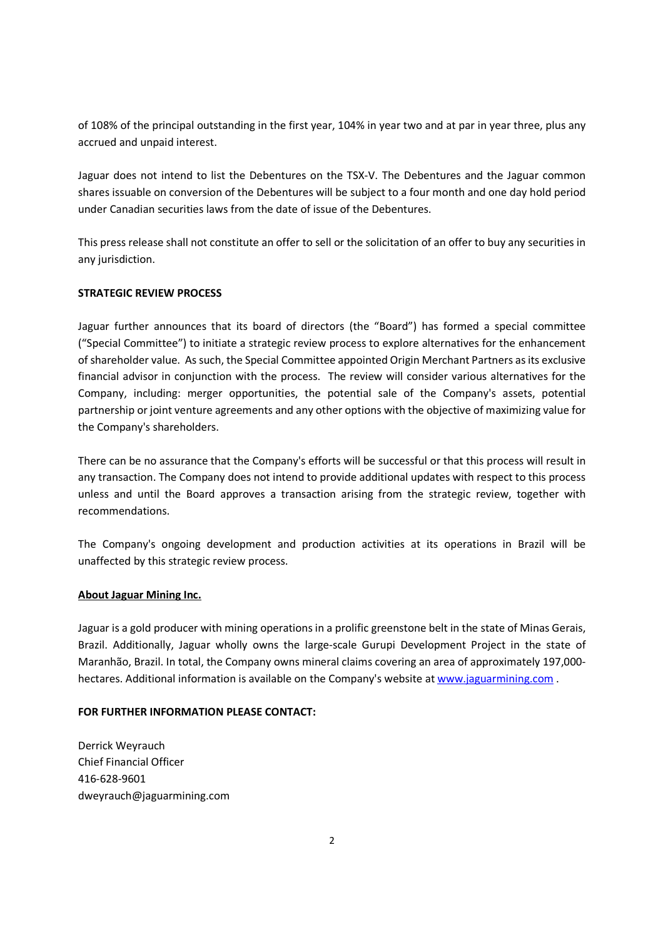of 108% of the principal outstanding in the first year, 104% in year two and at par in year three, plus any accrued and unpaid interest.

Jaguar does not intend to list the Debentures on the TSX-V. The Debentures and the Jaguar common shares issuable on conversion of the Debentures will be subject to a four month and one day hold period under Canadian securities laws from the date of issue of the Debentures.

This press release shall not constitute an offer to sell or the solicitation of an offer to buy any securities in any jurisdiction.

### **STRATEGIC REVIEW PROCESS**

Jaguar further announces that its board of directors (the "Board") has formed a special committee ("Special Committee") to initiate a strategic review process to explore alternatives for the enhancement of shareholder value. As such, the Special Committee appointed Origin Merchant Partners as its exclusive financial advisor in conjunction with the process. The review will consider various alternatives for the Company, including: merger opportunities, the potential sale of the Company's assets, potential partnership or joint venture agreements and any other options with the objective of maximizing value for the Company's shareholders.

There can be no assurance that the Company's efforts will be successful or that this process will result in any transaction. The Company does not intend to provide additional updates with respect to this process unless and until the Board approves a transaction arising from the strategic review, together with recommendations.

The Company's ongoing development and production activities at its operations in Brazil will be unaffected by this strategic review process.

### **About Jaguar Mining Inc.**

Jaguar is a gold producer with mining operations in a prolific greenstone belt in the state of Minas Gerais, Brazil. Additionally, Jaguar wholly owns the large-scale Gurupi Development Project in the state of Maranhão, Brazil. In total, the Company owns mineral claims covering an area of approximately 197,000 hectares. Additional information is available on the Company's website at www.jaguarmining.com .

### **FOR FURTHER INFORMATION PLEASE CONTACT:**

Derrick Weyrauch Chief Financial Officer 416-628-9601 dweyrauch@jaguarmining.com